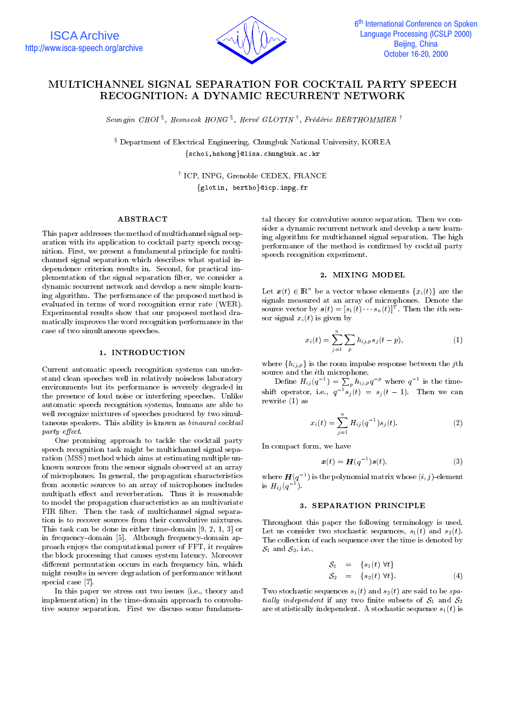

# MULTICHANNEL SIGNAL SEPARATION FOR COCKTAIL PARTY SPEECH RECOGNITION: A DYNAMIC RECURRENT NETWORK

 $Seunqyn$  CHOI  $^{\circ}$ , Heonseok HONG  $^{\circ}$ , Herve GLOIIIN  $^{\prime}$ , Freaeric BERTHOMMIER  $^{\prime}$ 

<sup>x</sup> Department of Electrical Engineering, Chungbuk National University, KOREA {schoi,hshong}@lisa.chungbuk.ac.kr

> <sup>y</sup> ICP, INPG, Grenoble CEDEX, FRANCE  $\{\text{glotin}, \text{bertho}\}$ @icp.inpg.fr

# ABSTRACT

This paper addresses the method of multichannel signal separation with its application to cocktail party speech recognition. First, we present a fundamental principle for multi channel signal separation which describes what spatial independence criterion results in. Second, for practical implementation of the signal separation filter, we consider a dynamic recurrent network and develop a new simple learning algorithm. The performance of the proposed method is evaluated in terms of word recognition error rate (WER). Experimental results show that our proposed method dramatically improves the word recognition performance in the case of two simultaneous speeches.

# 1. INTRODUCTION

Current automatic speech recognition systems can understand clean speeches well in relatively noiseless laboratory environments but its performance is severely degraded in the presence of loud noise or interfering speeches. Unlike automatic speech recognition systems, humans are able to well recognize mixtures of speeches produced by two simultaneous speakers. This ability is known as binaural cocktail party effect.

One promising approach to tackle the cocktail party speech recognition task might be multichannel signal separation (MSS) method which aims at estimating multiple unknown sources from the sensor signals observed at an array of microphones. In general, the propagation characteristics from acoustic sources to an array of microphones includes multipath effect and reverberation. Thus it is reasonable to model the propagation characteristics as an multivariate FIR filter. Then the task of multichannel signal separation is to recover sources from their convolutive mixtures. This task can be done in either time-domain [9, 2, 1, 3] or in frequency-domain [5]. Although frequency-domain approach enjoys the computational power of FFT, it requires the block processing that causes system latency. Moreover different permutation occurs in each frequency bin, which might results in severe degradation of performance without special case [7].

In this paper we stress out two issues (i.e., theory and implementation) in the time-domain approach to convolutive source separation. First we discuss some fundamen-

tal theory for convolutive source separation. Then we con sider a dynamic recurrent network and develop a new learning algorithm for multichannel signal separation. The high performance of the method is confirmed by cocktail party speech recognition experiment.

# 2. MIXING MODEL

Let  $\mathbf{x}(t) \in \mathbb{R}^n$  be a vector whose elements  $\{x_i(t)\}$  are the source vector by  $s(t) = [s_1(t) \cdots s_n(t)]^T$ . Then the *i*th sensor signal  $x_i(t)$  is given by

$$
x_i(t) = \sum_{j=1}^n \sum_p h_{ij,p} s_j(t-p),
$$
 (1)

where  $\{h_{ij,p}\}$  is the room impulse response between the jth

Define  $H_{ij}(q^{-1}) = \sum_p h_{ij,p} q^{-p}$  where  $q^{-1}$  is the timeshift operator, i.e.,  $q \, s_i(t) \, = \, s_i(t-1)$ . Then we can rewrite (1) as

$$
x_i(t) = \sum_{j=1}^n H_{ij}(q^{-1})s_j(t).
$$
 (2)

In compact form, we have

$$
\boldsymbol{x}(t) = \boldsymbol{H}(q^{-1})\boldsymbol{s}(t), \tag{3}
$$

where  $\boldsymbol{H}(q\to)$  is the polynomial matrix whose  $(i,j)$ -element is  $H_{ij} (q)$ .

# 3. SEPARATION PRINCIPLE

Throughout this paper the following terminology is used. Let us consider two stochastic sequences,  $s_1(t)$  and  $s_2(t)$ . The collection of each sequence over the time is denoted by  $S_1$  and  $S_2$ , i.e.,

$$
S_1 = \{s_1(t) \forall t\}
$$
  
\n
$$
S_2 = \{s_2(t) \forall t\}.
$$
 (4)

Two stochastic sequences  $s_1(t)$  and  $s_2(t)$  are said to be spatially independent if any two finite subsets of  $S_1$  and  $S_2$ are statistically independent. A stochastic sequence  $s_1(t)$  is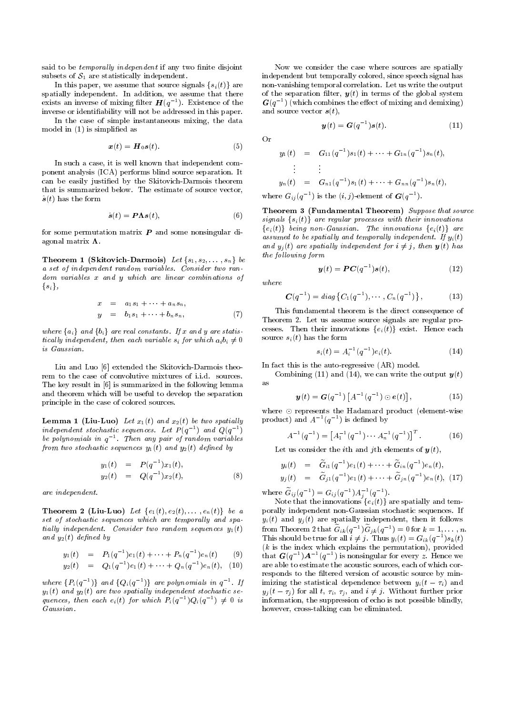said to be *temporally independent* if any two finite disjoint subsets of  $S_1$  are statistically independent.

In this paper, we assume that source signals  $\{s_i(t)\}\;$  are spatially independent. In addition, we assume that there exists an inverse of mixing filter  $H(q^{-1})$ . Existence of the inverse or identiability will not be addressed in this paper.

In the case of simple instantaneous mixing, the data model in (1) is simplied as

$$
\boldsymbol{x}(t) = \boldsymbol{H}_0 \boldsymbol{s}(t). \tag{5}
$$

In such a case, it is well known that independent component analysis (ICA) performs blind source separation. It can be easily justied by the Skitovich-Darmois theorem that is summarized below. The estimate of source vector,  $\hat{\bm{s}}(t)$  has the form

$$
\hat{\boldsymbol{s}}(t) = \boldsymbol{P}\boldsymbol{\Lambda}\boldsymbol{s}(t),\tag{6}
$$

for some permutation matrix  $P$  and some nonsingular diagonal matrix  $\Lambda$ .

Theorem 1 (Skitovich-Darmois) Let  $\{s_1, s_2, \ldots, s_n\}$  be a set of independent random variables. Consider two ran dom variables x and y which are linear combinations of  $\{s_i\},\$ 

$$
x = a_1s_1 + \dots + a_ns_n,
$$
  
\n
$$
y = b_1s_1 + \dots + b_ns_n,
$$
 (7)

where  $\{a_i\}$  and  $\{b_i\}$  are real constants. If x and y are statistically independent, then each variable  $s_i$  for which  $a_i b_i \neq 0$ is Gaussian.

Liu and Luo [6] extended the Skitovich-Darmois theo rem to the case of convolutive mixtures of i.i.d. sources. The key result in [6] is summarized in the following lemma and theorem which will be useful to develop the separation principle in the case of colored sources.

Lemma 1 (Liu-Luo) Let  $x_1(t)$  and  $x_2(t)$  be two spatially  $in a event$  stochastic sequences. Let  $P(a \rightarrow ana \cup (a))$ be polynomials in  $q^{-1}$ . Then any pair of random variables from two stochastic sequences  $y_1(t)$  and  $y_2(t)$  defined by

$$
y_1(t) = P(q^{-1})x_1(t),
$$
  
\n
$$
y_2(t) = Q(q^{-1})x_2(t),
$$
\n(8)

are independent.

set of stochastic sequences which are temporally and spatially independent. Consider two random sequences  $y_1(t)$ and  $y_2(t)$  defined by

$$
y_1(t) = P_1(q^{-1})e_1(t) + \cdots + P_n(q^{-1})e_n(t) \qquad (9) \qquad \dot{t}
$$

$$
y_2(t) = Q_1(q^{-1})e_1(t) + \cdots + Q_n(q^{-1})e_n(t), \quad (10) \qquad \text{a}
$$

where  $\{P_i(q^{-1})\}$  and  $\{Q_i(q^{-1})\}$  are polynomials in  $q^{-1}$ . If  $y_1(t)$  and  $y_2(t)$  are two spatially independent stochastic sequences, then each  $e_i(t)$  for which  $P_i(q^{-1})Q_i(q^{-1}) \neq 0$  is inf Gaussian.

Now we consider the case where sources are spatially independent but temporally colored, since speech signal has non-vanishing temporal correlation. Let us write the output of the separation filter,  $y(t)$  in terms of the global system  $G(q^{-1})$  (which combines the effect of mixing and demixing) and source vector  $s(t)$ ,

$$
\boldsymbol{y}(t) = \boldsymbol{G}(q^{-1})\boldsymbol{s}(t). \tag{11}
$$

 $Or$ 

$$
y_1(t) = G_{11}(q^{-1})s_1(t) + \cdots + G_{1n}(q^{-1})s_n(t),
$$
  
\n
$$
\vdots \qquad \vdots
$$
  
\n
$$
y_n(t) = G_{n1}(q^{-1})s_1(t) + \cdots + G_{nn}(q^{-1})s_n(t),
$$
  
\nwhere  $G_{ij}(q^{-1})$  is the  $(i, j)$ -element of  $G(q^{-1})$ .

Theorem 3 (Fundamental Theorem) Suppose that source signals  $\{s_i(t)\}\$  are regular processes with their innovations  ${e_i(t)}$  being non-Gaussian. The innovations  ${e_i(t)}$  are assumed to be spatially and temporally independent. If  $y_i(t)$ and  $y_i(t)$  are spatially independent for  $i \neq j$ , then  $y(t)$  has the following form

$$
\boldsymbol{y}(t) = \boldsymbol{P}\boldsymbol{C}(q^{-1})\boldsymbol{s}(t),\tag{12}
$$

where

$$
\mathbf{C}(q^{-1}) = diag\{C_1(q^{-1}), \cdots, C_n(q^{-1})\}, \qquad (13)
$$

This fundamental theorem is the direct consequence of Theorem 2. Let us assume source signals are regular pro cesses. Then their innovations  $\{e_i(t)\}\;$  exist. Hence each source  $s_i(t)$  has the form

$$
s_i(t) = A_i^{-1}(q^{-1})e_i(t). \tag{14}
$$

In fact this is the auto-regressive (AR) model.

Combining (11) and (14), we can write the output  $y(t)$ 

$$
\mathbf{y}(t) = \mathbf{G}(q^{-1}) \left[ A^{-1}(q^{-1}) \odot \mathbf{e}(t) \right], \tag{15}
$$

where  $\odot$  represents the Hadamard product (element-wise product) and  $A^{-1}(q^{-1})$  is defined by

$$
A^{-1}(q^{-1}) = \left[A_1^{-1}(q^{-1}) \cdots A_n^{-1}(q^{-1})\right]^T.
$$
 (16)

Let us consider the *i*th and *j*th elements of  $y(t)$ ,

$$
y_i(t) = \tilde{G}_{i1}(q^{-1})e_1(t) + \cdots + \tilde{G}_{in}(q^{-1})e_n(t),
$$
  
\n
$$
y_j(t) = \tilde{G}_{j1}(q^{-1})e_1(t) + \cdots + \tilde{G}_{jn}(q^{-1})e_n(t),
$$
 (17)

where  $G_{ij}(q^{-}) = G_{ij}(q^{-})A_{ij}(q^{-})$ .

**Theorem 2 (Liu-Luo)** Let  $\{e_1(t), e_2(t), \ldots, e_n(t)\}$  be a porally independent non-Gaussian stochastic sequences. If set of stochastic sequences which are temporally and spa-  $y_i(t)$  and  $y_j(t)$  are spatially independent, then Note that the innovations  $\{e_i(t)\}$  are spatially and temporally independent non-Gaussian stochastic sequences. If  $y$  (t) and  $y$  (t) are spatially independent, then it follows  $y$ from Theorem 2 that  $G_{ik}(q^{-1})G_{jk}(q^{-1})=0$  for  $k=1,\ldots,n$ .<br>This should be true for all  $i\neq j$ . Thus  $y_i(t)=G_{ik}(q^{-1})s_k(t)$ (k is the index which explains the permutation), provided which explains the permutation  $\mathbf{r}_i$ that  $\mathbf{G}(q^+)A^{-1}(q^-)$  is nonsingular for every z. Hence we are able to estimate the acoustic sources, each of which corresponds to the filtered version of acoustic source by minimizing the statistical dependence between  $y_i(t - \tau_i)$  and  $y_j(t - \tau_j)$  for all t,  $\tau_i$ ,  $\tau_j$ , and  $i \neq j$ . Without further prior information, the suppression of echo is not possible blindly, however, cross-talking can be eliminated.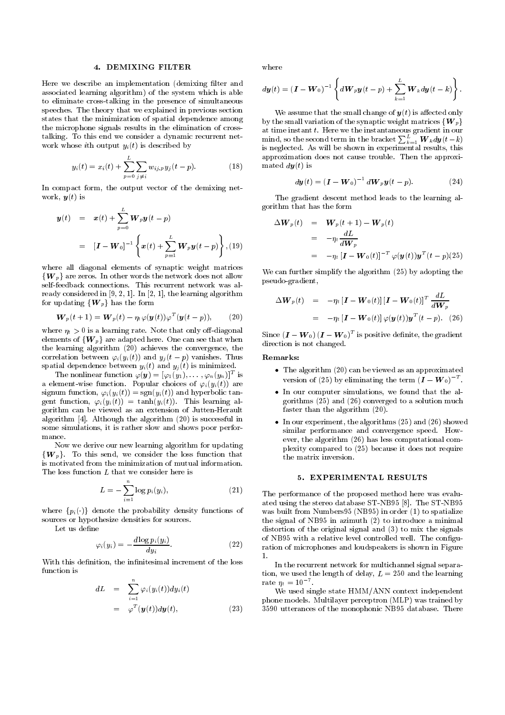#### 4. DEMIXING FILTER

Here we describe an implementation (demixing filter and associated learning algorithm) of the system which is able to eliminate cross-talking in the presence of simultaneous speeches. The theory that we explained in previous section states that the minimization of spatial dependence among the microphone signals results in the elimination of crosstalking. To this end we consider a dynamic recurrent net work whose ith output  $y_i(t)$  is described by

$$
y_i(t) = x_i(t) + \sum_{p=0}^{L} \sum_{j \neq i} w_{ij,p} y_j(t-p).
$$
 (18)

In compact form, the output vector of the demixing net work,  $y(t)$  is

$$
\mathbf{y}(t) = \mathbf{x}(t) + \sum_{p=0}^{L} \mathbf{W}_p \mathbf{y}(t-p)
$$
  
=  $[\mathbf{I} - \mathbf{W}_0]^{-1} \left\{ \mathbf{x}(t) + \sum_{p=1}^{L} \mathbf{W}_p \mathbf{y}(t-p) \right\}, (19)$ 

where all diagonal elements of synaptic weight matrices  $\{W_n\}$  are zeros. In other words the network does not allow self-feedback connections. This recurrent network was already considered in [9, 2, 1]. In [2, 1], the learning algorithm for updating  ${W<sub>p</sub>}$  has the form

$$
\boldsymbol{W}_p(t+1) = \boldsymbol{W}_p(t) - \eta_t \varphi(\boldsymbol{y}(t)) \varphi^T(\boldsymbol{y}(t-p)), \qquad (20)
$$

where  $\eta_t > 0$  is a learning rate. Note that only off-diagonal elements of  ${W<sub>p</sub>}$  are adapted here. One can see that when the learning algorithm (20) achieves the convergence, the correlation between  $\varphi_i(y_i(t))$  and  $y_j(t - p)$  vanishes. Thus spatial dependence between  $y_i(t)$  and  $y_j(t)$  is minimized.

The nonlinear function  $\varphi(\boldsymbol{y}) = [\varphi_1(y_1),\dots,\varphi_n(y_n)]^\top$  is a element-wise function. Popular choices of  $\varphi_i(y_i(t))$  are signum function,  $\varphi_i(y_i(t)) = \text{sgn}(y_i(t))$  and hyperbolic tangent function,  $\varphi_i(y_i(t)) = \tanh(y_i(t))$ . This learning algorithm can be viewed asan extension of Jutten-Herault algorithm [4]. Although the algorithm (20) is successful in some simulations, it is rather slow and shows poor perfor mance.

Now we derive our new learning algorithm for updating  $\{W_p\}$ . To this send, we consider the loss function that is motivated from the minimization of mutual information. The loss function L that we consider here is

$$
L = -\sum_{i=1}^{n} \log p_i(y_i),
$$
 (21)

where  $\{p_i(\cdot)\}\$  denote the probability density functions of sources or hypothesize densities for sources.

Let us define

$$
\varphi_i(y_i) = -\frac{d \log p_i(y_i)}{dy_i}.
$$
\n(22)

With this definition, the infinitesimal increment of the loss function is

dL = Xn <sup>i</sup>=1 'i(yi(t))dyi(t) = 'T (y(t))dy(t); (23)

where

$$
d\boldsymbol{y}(t) = (\boldsymbol{I} - \boldsymbol{W}_0)^{-1} \left\{ d\boldsymbol{W}_p \boldsymbol{y}(t-p) + \sum_{k=1}^L \boldsymbol{W}_k d\boldsymbol{y}(t-k) \right\}.
$$

We assume that the small change of  $y(t)$  is affected only by the small variation of the synaptic weight matrices  ${W_p}$ at time instant t. Here we the instantaneous gradient in our mind, so the second term in the bracket  $\sum_{k=1}^L \boldsymbol{W}_k d\boldsymbol{y}(t-k)$ is neglected. As will be shown in experimental results, this approximation does not cause trouble. Then the approximated  $dy(t)$  is

$$
d\mathbf{y}(t) = \left(\mathbf{I} - \mathbf{W}_0\right)^{-1} d\mathbf{W}_p \mathbf{y}(t - p). \tag{24}
$$

The gradient descent method leads to the learning algorithm that has the form

$$
\Delta \boldsymbol{W}_p(t) = \boldsymbol{W}_p(t+1) - \boldsymbol{W}_p(t)
$$
  
=  $-\eta_t \frac{dL}{d\boldsymbol{W}_p}$   
=  $-\eta_t [\boldsymbol{I} - \boldsymbol{W}_0(t)]^{-T} \varphi(\boldsymbol{y}(t)) \boldsymbol{y}^T(t-p)(25)$ 

We can further simplify the algorithm (25) by adopting the pseudo-gradient,

$$
\Delta \boldsymbol{W}_p(t) = -\eta_t \left[ \boldsymbol{I} - \boldsymbol{W}_0(t) \right] \left[ \boldsymbol{I} - \boldsymbol{W}_0(t) \right]^T \frac{dL}{d\boldsymbol{W}_p}
$$
  
= -\eta\_t \left[ \boldsymbol{I} - \boldsymbol{W}\_0(t) \right] \varphi(\boldsymbol{y}(t)) \boldsymbol{y}^T(t - p). (26)

Since  $(I - W_0)(I - W_0)^T$  is positive definite, the gradient direction is not changed.

Remarks:

- $\bullet$  The algorithm (20) can be viewed as an approximated version of (25) by eliminating the term  $(I - W_0)$ .
- $\bullet$  in our computer simulations, we found that the algorithms (25) and (26) converged to a solution much faster than the algorithm (20).
- $\bullet$  -In our experiment, the algorithms (25) and (26) showed similar performance and convergence speed. How ever, the algorithm (26) has less computational complexity compared to (25) because it does not require the matrix inversion.

## 5. EXPERIMENTAL RESULTS

The performance of the proposed method here was evaluated using the stereo database ST-NB95 [8]. The ST-NB95 was built from Numbers95 (NB95) in order (1) to spatialize the signal of NB95 in azimuth (2) to introduce a minimal distortion of the original signal and (3) to mix the signals of NB95 with a relative level controlled well. The configuration of microphones and loudspeakers is shown in Figure  $\mathbf{1}$ 

In the recurrent network for multichannel signal separation, we used the length of delay,  $L = 250$  and the learning rate  $\eta_t = 10$ 

We used single state HMM/ANN context independent phone models. Multilayer perceptron (MLP) was trained by 3590 utterances of the monophonic NB95 database. There